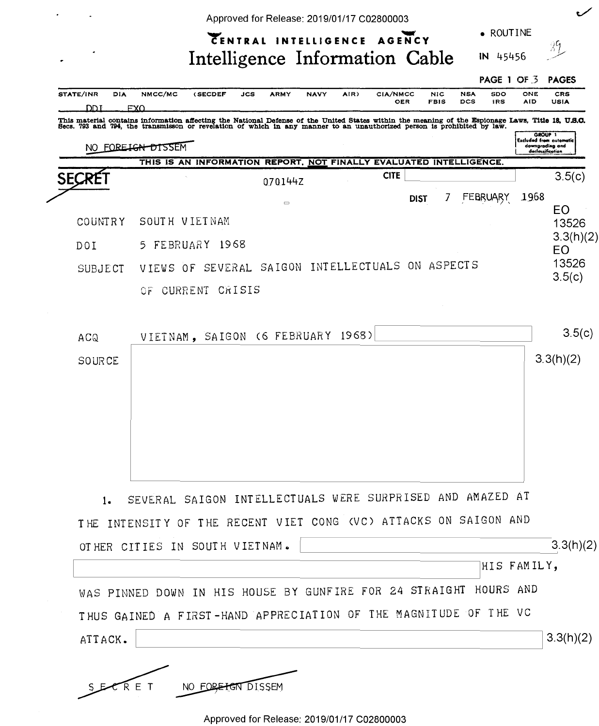|                          | Approved for Release: 2019/01/17 C02800003<br>• ROUTINE                                                                                                                                                    |                 |
|--------------------------|------------------------------------------------------------------------------------------------------------------------------------------------------------------------------------------------------------|-----------------|
|                          | CENTRAL INTELLIGENCE AGENCY<br>Intelligence Information Cable<br>IN 45456                                                                                                                                  | 39              |
|                          | PAGE 1<br>OF $\overline{3}$                                                                                                                                                                                | <b>PAGES</b>    |
| STATE/INR<br>DIA<br>ז חח | NMCC/MC<br>(SECDEF<br><b>ARMY</b><br>AIR)<br>CIA/NMCC<br><b>NSA</b><br>SDO<br>ONE<br><b>JCS</b><br><b>NAVY</b><br><b>NIC</b><br><b>DCS</b><br>OER<br><b>FBIS</b><br><b>IRS</b><br><b>AID</b><br><b>FXO</b> | CRS<br>USIA     |
|                          | Excluded from automatic<br>downgrading and<br>FORE IGN DISSEM<br>declassification<br>THIS IS AN INFORMATION REPORT, NOT FINALLY EVALUATED INTELLIGENCE.                                                    |                 |
| <b>SECRE</b>             | <b>CITE</b><br>070144Z                                                                                                                                                                                     | 3.5(c)          |
|                          | 1968<br>7<br>FEBRUARY<br><b>DIST</b><br>$\Box$                                                                                                                                                             | EO              |
| COUNTRY                  | SOUTH VIETNAM                                                                                                                                                                                              | 13526           |
| DOI                      | FEBRUARY 1968<br>5.                                                                                                                                                                                        | 3.3(h)(2)       |
|                          |                                                                                                                                                                                                            | E <sub>O</sub>  |
| SUBJECT                  | SAIGON INTELLECTUALS ON ASPECTS<br>SEVERAL<br>VIEWS OF                                                                                                                                                     | 13526<br>3.5(c) |

| ACQ    | VIETNAM, SAIGON (6 FEBRUARY 1968)                                 | 3.5(c)      |
|--------|-------------------------------------------------------------------|-------------|
| SOURCE |                                                                   | 3.3(h)(2)   |
|        |                                                                   |             |
|        |                                                                   |             |
|        |                                                                   |             |
|        |                                                                   |             |
| 1.     | SEVERAL SAIGON INTELLECTUALS WERE SURPRISED AND AMAZED AT         |             |
|        | THE INTENSITY OF THE RECENT VIET CONG (VC) ATTACKS ON SAIGON AND  |             |
|        | OTHER CITIES IN SOUTH VIETNAM.                                    | 3.3(h)(2)   |
|        |                                                                   | HIS FAMILY, |
|        | WAS PINNED DOWN IN HIS HOUSE BY GUNFIRE FOR 24 STRAIGHT HOURS AND |             |
|        | THUS GAINED A FIRST-HAND APPRECIATION OF THE MAGNITUDE OF THE VC  |             |

Approved for Release: 2019/01/17 C02800003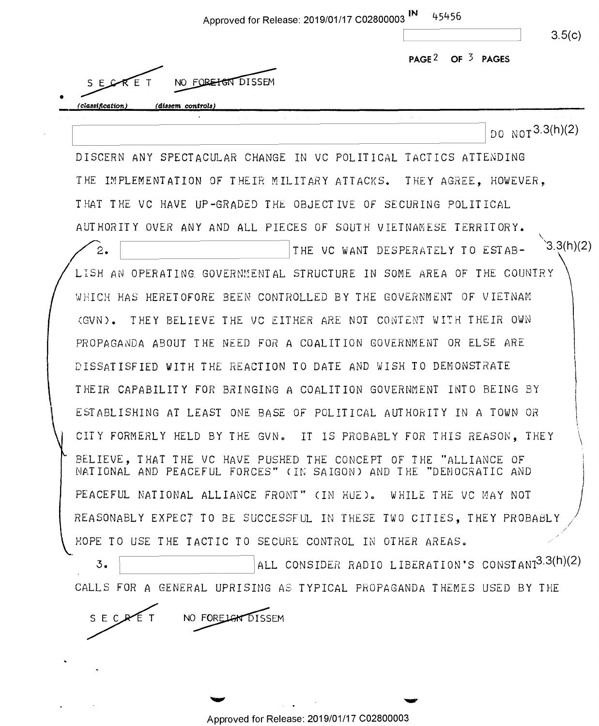| Approved for Release: 2019/01/17 C02800003                                                                                            | IN<br>45456                                                   | 3.5(c)    |
|---------------------------------------------------------------------------------------------------------------------------------------|---------------------------------------------------------------|-----------|
|                                                                                                                                       | PAGE <sup>2</sup> OF $3$ PAGES                                |           |
| NO FOREFORD ISSEM                                                                                                                     |                                                               |           |
| (dissem controls)<br>classification)                                                                                                  |                                                               |           |
|                                                                                                                                       | DO NOT 3.3(h)(2)                                              |           |
| DISCERN ANY SPECTACULAR CHANGE IN VC POLITICAL TACTICS ATTENDING                                                                      |                                                               |           |
| THE IMPLEMENTATION OF THEIR MILITARY ATTACKS. THEY AGREE, HOWEVER,                                                                    |                                                               |           |
| THAT THE VC HAVE UP-GRADED THE OBJECTIVE OF SECURING POLITICAL                                                                        |                                                               |           |
| AUTHORITY OVER ANY AND ALL PIECES OF SOUTH VIETNAMESE TERRITORY.                                                                      |                                                               |           |
| 2.                                                                                                                                    | THE VC WANT DESPERATELY TO ESTAB-                             | 3.3(h)(2) |
| LISH AN OPERATING GOVERNMENTAL STRUCTURE IN SOME AREA OF THE COUNTRY                                                                  |                                                               |           |
| WHICH HAS HERETOFORE BEEN CONTROLLED BY THE GOVERNMENT OF VIETNAM                                                                     |                                                               |           |
| (GVN). THEY BELIEVE THE VC EITHER ARE NOT CONTENT WITH THEIR OWN                                                                      |                                                               |           |
| PROPAGANDA ABOUT THE NEED FOR A COALITION GOVERNMENT OR ELSE ARE                                                                      |                                                               |           |
| DISSATISFIED WITH THE REACTION TO DATE AND WISH TO DEMONSTRATE                                                                        |                                                               |           |
| THEIR CAPABILITY FOR BRINGING A COALITION GOVERNMENT INTO BEING BY                                                                    |                                                               |           |
| ESTABLISHING AT LEAST ONE BASE OF POLITICAL AUTHORITY IN A TOWN OR                                                                    |                                                               |           |
| CITY FORMERLY HELD BY THE GVN. IT IS PROBABLY FOR THIS REASON, THEY                                                                   |                                                               |           |
| BELIEVE, THAT THE VC HAVE PUSHED THE CONCEPT OF THE "ALLIANCE OF<br>NATIONAL AND PEACEFUL FORCES" (IN SAIGON) AND THE "DEMOCRATIC AND |                                                               |           |
| PEACEFUL NATIONAL ALLIANCE FRONT" (IN HUE). WHILE THE VC MAY NOT                                                                      |                                                               |           |
| REASONABLY EXPECT TO BE SUCCESSFUL IN THESE TWO CITIES, THEY PROBABLY                                                                 |                                                               |           |
| HOPE TO USE THE TACTIC TO SECURE CONTROL IN OTHER AREAS.                                                                              |                                                               |           |
| 3.                                                                                                                                    | ALL CONSIDER RADIO LIBERATION'S CONSTANT <sup>3.3(h)(2)</sup> |           |

S E C RE T NO FORE LONDISSEM

 $\sim$   $\sim$ 

 $\sim 10^{10}$  km s  $^{-1}$